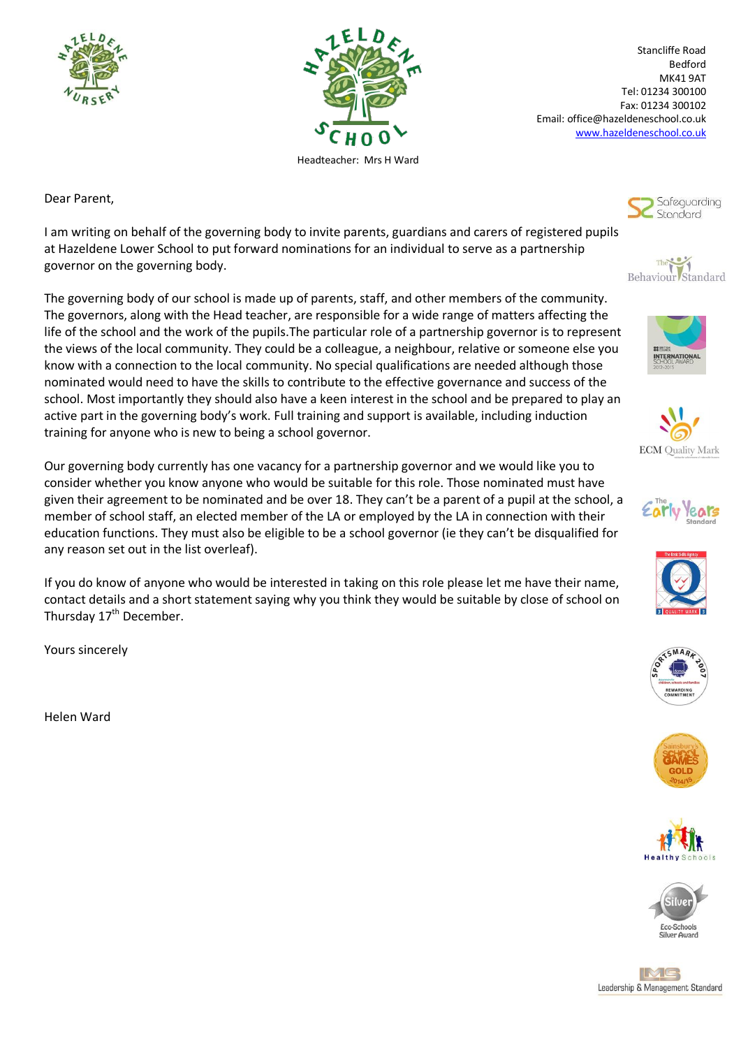



Stancliffe Road Bedford MK41 9AT Tel: 01234 300100 Fax: 01234 300102 Email: office@hazeldeneschool.co.uk [www.hazeldeneschool.co.uk](http://www.hazeldeneschool.co.uk/)

Dear Parent,

I am writing on behalf of the governing body to invite parents, guardians and carers of registered pupils at Hazeldene Lower School to put forward nominations for an individual to serve as a partnership governor on the governing body.

The governing body of our school is made up of parents, staff, and other members of the community. The governors, along with the Head teacher, are responsible for a wide range of matters affecting the life of the school and the work of the pupils.The particular role of a partnership governor is to represent the views of the local community. They could be a colleague, a neighbour, relative or someone else you know with a connection to the local community. No special qualifications are needed although those nominated would need to have the skills to contribute to the effective governance and success of the school. Most importantly they should also have a keen interest in the school and be prepared to play an active part in the governing body's work. Full training and support is available, including induction training for anyone who is new to being a school governor.

Our governing body currently has one vacancy for a partnership governor and we would like you to consider whether you know anyone who would be suitable for this role. Those nominated must have given their agreement to be nominated and be over 18. They can't be a parent of a pupil at the school, a member of school staff, an elected member of the LA or employed by the LA in connection with their education functions. They must also be eligible to be a school governor (ie they can't be disqualified for any reason set out in the list overleaf).

If you do know of anyone who would be interested in taking on this role please let me have their name, contact details and a short statement saying why you think they would be suitable by close of school on Thursday  $17<sup>th</sup>$  December.

Yours sincerely

Helen Ward





















IME Leadership & Management Standard